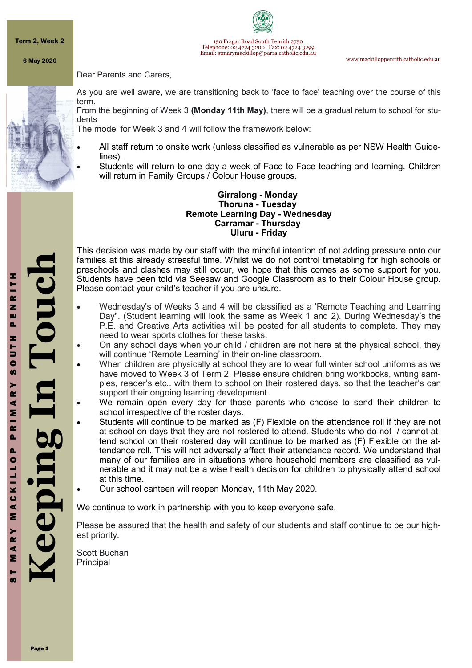Term 2, Week 2

150 Fragar Road South Penrith 2750 Telephone: 02 4724 3200 Fax: 02 4724 3299 Email: stmarymackillop@parra.catholic.edu.au

www.mackilloppenrith.catholic.edu.au

6 May 2020

Dear Parents and Carers,



As you are well aware, we are transitioning back to 'face to face' teaching over the course of this term.

From the beginning of Week 3 **(Monday 11th May)**, there will be a gradual return to school for students

The model for Week 3 and 4 will follow the framework below:

- All staff return to onsite work (unless classified as vulnerable as per NSW Health Guidelines).
- Students will return to one day a week of Face to Face teaching and learning. Children will return in Family Groups / Colour House groups.

#### **Girralong - Monday Thoruna - Tuesday Remote Learning Day - Wednesday Carramar - Thursday Uluru - Friday**

This decision was made by our staff with the mindful intention of not adding pressure onto our families at this already stressful time. Whilst we do not control timetabling for high schools or preschools and clashes may still occur, we hope that this comes as some support for you. Students have been told via Seesaw and Google Classroom as to their Colour House group. Please contact your child's teacher if you are unsure.

- Wednesday's of Weeks 3 and 4 will be classified as a 'Remote Teaching and Learning Day". (Student learning will look the same as Week 1 and 2). During Wednesday's the P.E. and Creative Arts activities will be posted for all students to complete. They may need to wear sports clothes for these tasks.
- On any school days when your child / children are not here at the physical school, they will continue 'Remote Learning' in their on-line classroom.
- When children are physically at school they are to wear full winter school uniforms as we have moved to Week 3 of Term 2. Please ensure children bring workbooks, writing samples, reader's etc.. with them to school on their rostered days, so that the teacher's can support their ongoing learning development.
- We remain open every day for those parents who choose to send their children to school irrespective of the roster days.
- Students will continue to be marked as (F) Flexible on the attendance roll if they are not at school on days that they are not rostered to attend. Students who do not / cannot attend school on their rostered day will continue to be marked as (F) Flexible on the attendance roll. This will not adversely affect their attendance record. We understand that many of our families are in situations where household members are classified as vulnerable and it may not be a wise health decision for children to physically attend school at this time.
- Our school canteen will reopen Monday, 11th May 2020.

We continue to work in partnership with you to keep everyone safe.

Please be assured that the health and safety of our students and staff continue to be our highest priority.

Scott Buchan **Principal**